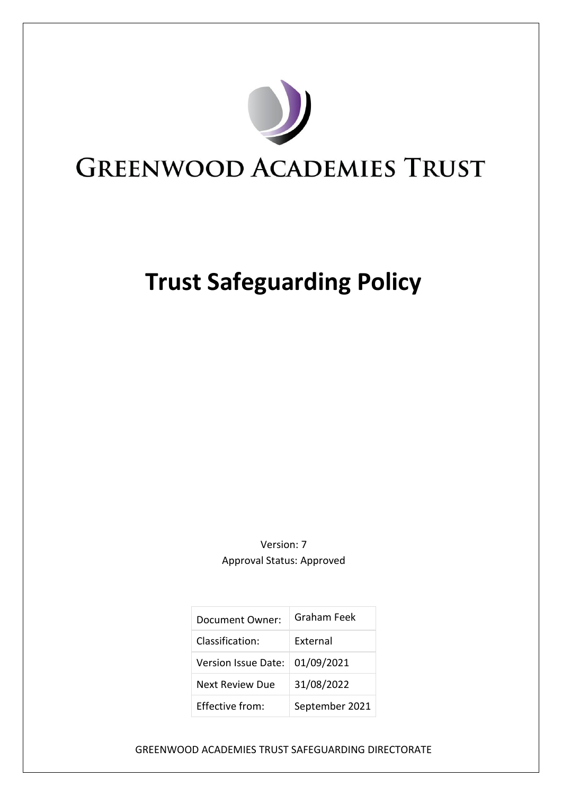# **GREENWOOD ACADEMIES TRUST**

## **Trust Safeguarding Policy**

Version: 7 Approval Status: Approved

| Document Owner:        | Graham Feek     |
|------------------------|-----------------|
| Classification:        | <b>External</b> |
| Version Issue Date:    | 01/09/2021      |
| Next Review Due        | 31/08/2022      |
| <b>Effective from:</b> | September 2021  |

#### GREENWOOD ACADEMIES TRUST SAFEGUARDING DIRECTORATE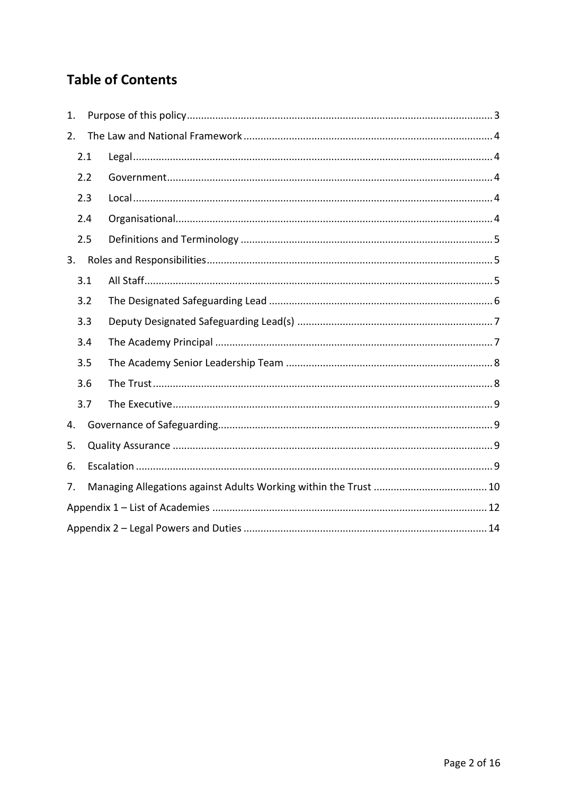### **Table of Contents**

| 1. |     |  |  |  |
|----|-----|--|--|--|
| 2. |     |  |  |  |
|    | 2.1 |  |  |  |
|    | 2.2 |  |  |  |
|    | 2.3 |  |  |  |
|    | 2.4 |  |  |  |
|    | 2.5 |  |  |  |
| 3. |     |  |  |  |
|    | 3.1 |  |  |  |
|    | 3.2 |  |  |  |
|    | 3.3 |  |  |  |
|    | 3.4 |  |  |  |
|    | 3.5 |  |  |  |
|    | 3.6 |  |  |  |
|    | 3.7 |  |  |  |
| 4. |     |  |  |  |
| 5. |     |  |  |  |
| 6. |     |  |  |  |
| 7. |     |  |  |  |
|    |     |  |  |  |
|    |     |  |  |  |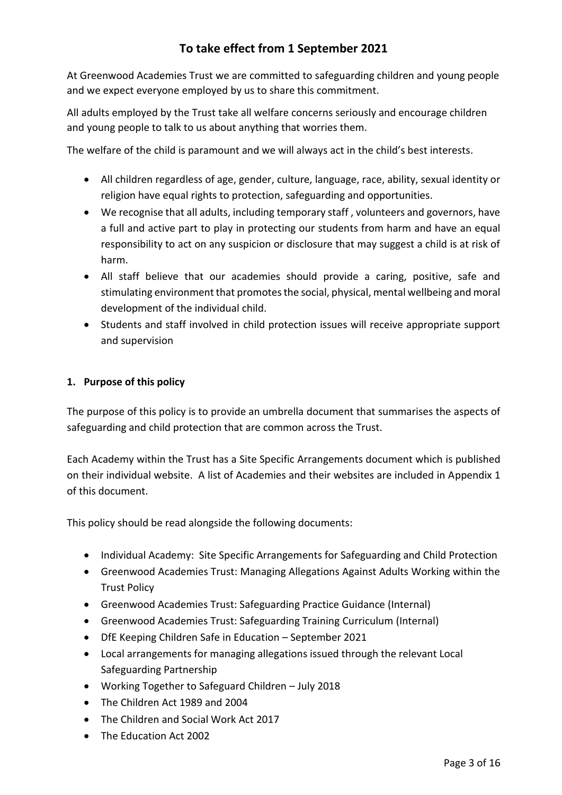#### **To take effect from 1 September 2021**

At Greenwood Academies Trust we are committed to safeguarding children and young people and we expect everyone employed by us to share this commitment.

All adults employed by the Trust take all welfare concerns seriously and encourage children and young people to talk to us about anything that worries them.

The welfare of the child is paramount and we will always act in the child's best interests.

- All children regardless of age, gender, culture, language, race, ability, sexual identity or religion have equal rights to protection, safeguarding and opportunities.
- We recognise that all adults, including temporary staff , volunteers and governors, have a full and active part to play in protecting our students from harm and have an equal responsibility to act on any suspicion or disclosure that may suggest a child is at risk of harm.
- All staff believe that our academies should provide a caring, positive, safe and stimulating environment that promotes the social, physical, mental wellbeing and moral development of the individual child.
- Students and staff involved in child protection issues will receive appropriate support and supervision

#### <span id="page-2-0"></span>**1. Purpose of this policy**

The purpose of this policy is to provide an umbrella document that summarises the aspects of safeguarding and child protection that are common across the Trust.

Each Academy within the Trust has a Site Specific Arrangements document which is published on their individual website. A list of Academies and their websites are included in Appendix 1 of this document.

This policy should be read alongside the following documents:

- Individual Academy: Site Specific Arrangements for Safeguarding and Child Protection
- Greenwood Academies Trust: Managing Allegations Against Adults Working within the Trust Policy
- Greenwood Academies Trust: Safeguarding Practice Guidance (Internal)
- Greenwood Academies Trust: Safeguarding Training Curriculum (Internal)
- DfE Keeping Children Safe in Education September 2021
- Local arrangements for managing allegations issued through the relevant Local Safeguarding Partnership
- Working Together to Safeguard Children July 2018
- The Children Act 1989 and 2004
- The Children and Social Work Act 2017
- The Education Act 2002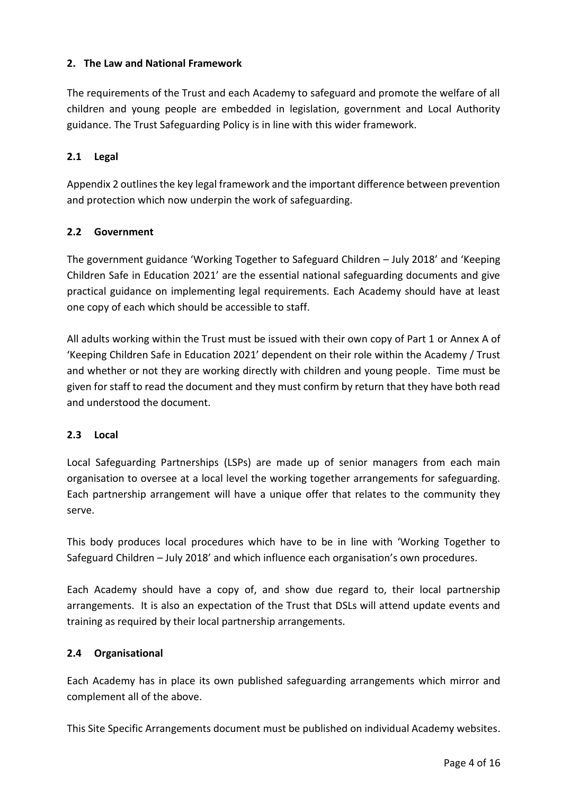#### <span id="page-3-0"></span>**2. The Law and National Framework**

The requirements of the Trust and each Academy to safeguard and promote the welfare of all children and young people are embedded in legislation, government and Local Authority guidance. The Trust Safeguarding Policy is in line with this wider framework.

#### <span id="page-3-1"></span>**2.1 Legal**

Appendix 2 outlines the key legal framework and the important difference between prevention and protection which now underpin the work of safeguarding.

#### <span id="page-3-2"></span>**2.2 Government**

The government guidance 'Working Together to Safeguard Children – July 2018' and 'Keeping Children Safe in Education 2021' are the essential national safeguarding documents and give practical guidance on implementing legal requirements. Each Academy should have at least one copy of each which should be accessible to staff.

All adults working within the Trust must be issued with their own copy of Part 1 or Annex A of 'Keeping Children Safe in Education 2021' dependent on their role within the Academy / Trust and whether or not they are working directly with children and young people. Time must be given for staff to read the document and they must confirm by return that they have both read and understood the document.

#### <span id="page-3-3"></span>**2.3 Local**

Local Safeguarding Partnerships (LSPs) are made up of senior managers from each main organisation to oversee at a local level the working together arrangements for safeguarding. Each partnership arrangement will have a unique offer that relates to the community they serve.

This body produces local procedures which have to be in line with 'Working Together to Safeguard Children – July 2018' and which influence each organisation's own procedures.

Each Academy should have a copy of, and show due regard to, their local partnership arrangements. It is also an expectation of the Trust that DSLs will attend update events and training as required by their local partnership arrangements.

#### <span id="page-3-4"></span>**2.4 Organisational**

Each Academy has in place its own published safeguarding arrangements which mirror and complement all of the above.

This Site Specific Arrangements document must be published on individual Academy websites.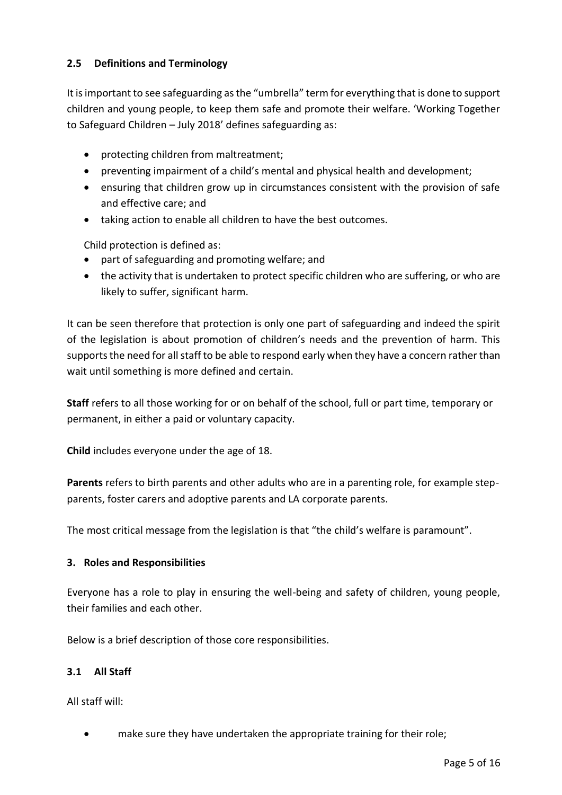#### <span id="page-4-0"></span>**2.5 Definitions and Terminology**

It is important to see safeguarding as the "umbrella" term for everything that is done to support children and young people, to keep them safe and promote their welfare. 'Working Together to Safeguard Children – July 2018' defines safeguarding as:

- protecting children from maltreatment;
- preventing impairment of a child's mental and physical health and development;
- ensuring that children grow up in circumstances consistent with the provision of safe and effective care; and
- taking action to enable all children to have the best outcomes.

Child protection is defined as:

- part of safeguarding and promoting welfare; and
- the activity that is undertaken to protect specific children who are suffering, or who are likely to suffer, significant harm.

It can be seen therefore that protection is only one part of safeguarding and indeed the spirit of the legislation is about promotion of children's needs and the prevention of harm. This supports the need for all staff to be able to respond early when they have a concern rather than wait until something is more defined and certain.

**Staff** refers to all those working for or on behalf of the school, full or part time, temporary or permanent, in either a paid or voluntary capacity.

**Child** includes everyone under the age of 18.

**Parents** refers to birth parents and other adults who are in a parenting role, for example stepparents, foster carers and adoptive parents and LA corporate parents.

The most critical message from the legislation is that "the child's welfare is paramount".

#### <span id="page-4-1"></span>**3. Roles and Responsibilities**

Everyone has a role to play in ensuring the well-being and safety of children, young people, their families and each other.

Below is a brief description of those core responsibilities.

#### <span id="page-4-2"></span>**3.1 All Staff**

All staff will:

make sure they have undertaken the appropriate training for their role;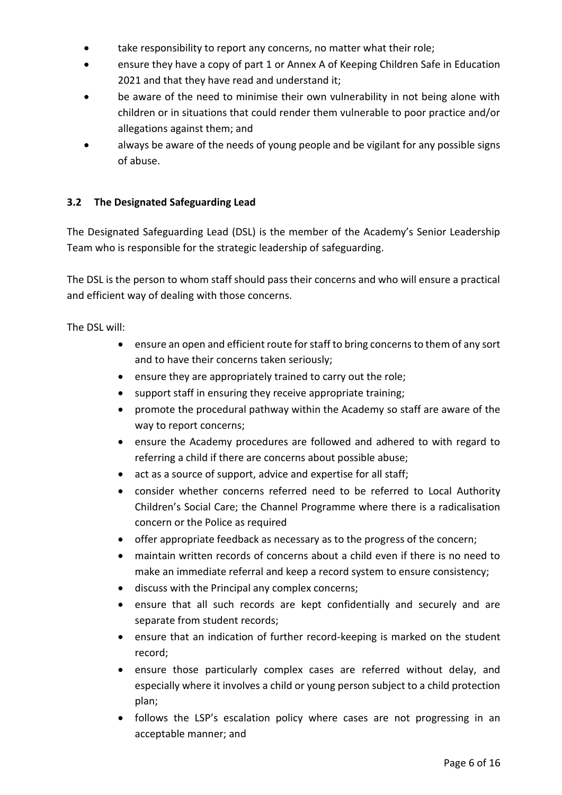- take responsibility to report any concerns, no matter what their role;
- ensure they have a copy of part 1 or Annex A of Keeping Children Safe in Education 2021 and that they have read and understand it;
- be aware of the need to minimise their own vulnerability in not being alone with children or in situations that could render them vulnerable to poor practice and/or allegations against them; and
- always be aware of the needs of young people and be vigilant for any possible signs of abuse.

#### <span id="page-5-0"></span>**3.2 The Designated Safeguarding Lead**

The Designated Safeguarding Lead (DSL) is the member of the Academy's Senior Leadership Team who is responsible for the strategic leadership of safeguarding.

The DSL is the person to whom staff should pass their concerns and who will ensure a practical and efficient way of dealing with those concerns.

The DSL will:

- ensure an open and efficient route for staff to bring concerns to them of any sort and to have their concerns taken seriously;
- ensure they are appropriately trained to carry out the role;
- support staff in ensuring they receive appropriate training;
- promote the procedural pathway within the Academy so staff are aware of the way to report concerns;
- ensure the Academy procedures are followed and adhered to with regard to referring a child if there are concerns about possible abuse;
- act as a source of support, advice and expertise for all staff;
- consider whether concerns referred need to be referred to Local Authority Children's Social Care; the Channel Programme where there is a radicalisation concern or the Police as required
- offer appropriate feedback as necessary as to the progress of the concern;
- maintain written records of concerns about a child even if there is no need to make an immediate referral and keep a record system to ensure consistency;
- discuss with the Principal any complex concerns;
- ensure that all such records are kept confidentially and securely and are separate from student records;
- ensure that an indication of further record-keeping is marked on the student record;
- ensure those particularly complex cases are referred without delay, and especially where it involves a child or young person subject to a child protection plan;
- follows the LSP's escalation policy where cases are not progressing in an acceptable manner; and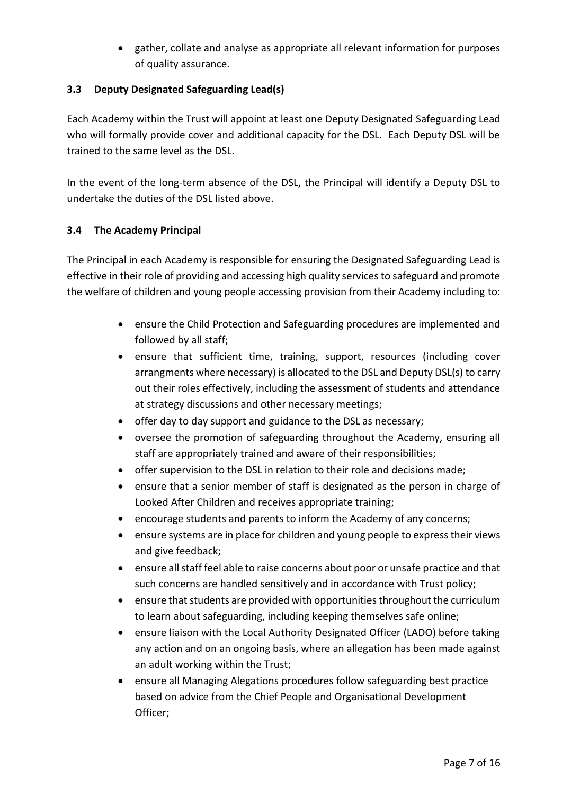• gather, collate and analyse as appropriate all relevant information for purposes of quality assurance.

#### <span id="page-6-0"></span>**3.3 Deputy Designated Safeguarding Lead(s)**

Each Academy within the Trust will appoint at least one Deputy Designated Safeguarding Lead who will formally provide cover and additional capacity for the DSL. Each Deputy DSL will be trained to the same level as the DSL.

In the event of the long-term absence of the DSL, the Principal will identify a Deputy DSL to undertake the duties of the DSL listed above.

#### <span id="page-6-1"></span>**3.4 The Academy Principal**

The Principal in each Academy is responsible for ensuring the Designated Safeguarding Lead is effective in their role of providing and accessing high quality services to safeguard and promote the welfare of children and young people accessing provision from their Academy including to:

- ensure the Child Protection and Safeguarding procedures are implemented and followed by all staff;
- ensure that sufficient time, training, support, resources (including cover arrangments where necessary) is allocated to the DSL and Deputy DSL(s) to carry out their roles effectively, including the assessment of students and attendance at strategy discussions and other necessary meetings;
- offer day to day support and guidance to the DSL as necessary;
- oversee the promotion of safeguarding throughout the Academy, ensuring all staff are appropriately trained and aware of their responsibilities;
- offer supervision to the DSL in relation to their role and decisions made;
- ensure that a senior member of staff is designated as the person in charge of Looked After Children and receives appropriate training;
- encourage students and parents to inform the Academy of any concerns;
- ensure systems are in place for children and young people to express their views and give feedback;
- ensure all staff feel able to raise concerns about poor or unsafe practice and that such concerns are handled sensitively and in accordance with Trust policy;
- ensure that students are provided with opportunities throughout the curriculum to learn about safeguarding, including keeping themselves safe online;
- ensure liaison with the Local Authority Designated Officer (LADO) before taking any action and on an ongoing basis, where an allegation has been made against an adult working within the Trust;
- ensure all Managing Alegations procedures follow safeguarding best practice based on advice from the Chief People and Organisational Development Officer;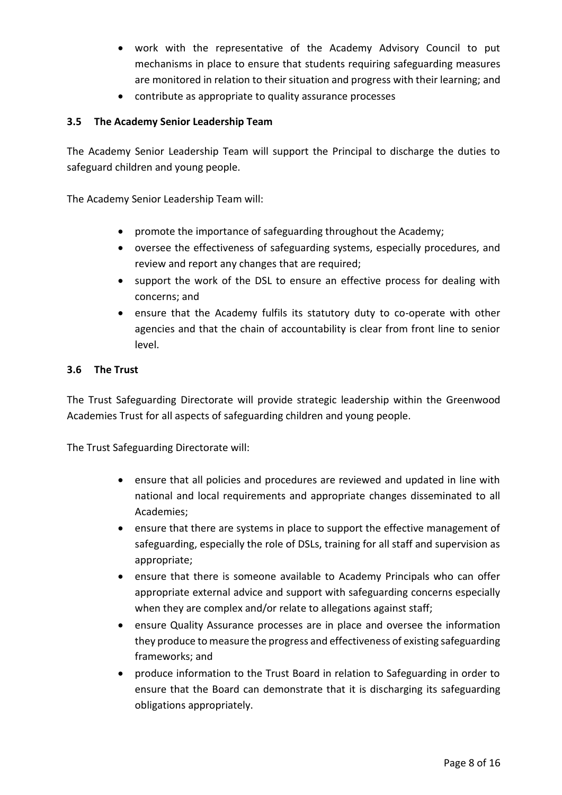- work with the representative of the Academy Advisory Council to put mechanisms in place to ensure that students requiring safeguarding measures are monitored in relation to their situation and progress with their learning; and
- contribute as appropriate to quality assurance processes

#### <span id="page-7-0"></span>**3.5 The Academy Senior Leadership Team**

The Academy Senior Leadership Team will support the Principal to discharge the duties to safeguard children and young people.

The Academy Senior Leadership Team will:

- promote the importance of safeguarding throughout the Academy;
- oversee the effectiveness of safeguarding systems, especially procedures, and review and report any changes that are required;
- support the work of the DSL to ensure an effective process for dealing with concerns; and
- ensure that the Academy fulfils its statutory duty to co-operate with other agencies and that the chain of accountability is clear from front line to senior level.

#### <span id="page-7-1"></span>**3.6 The Trust**

The Trust Safeguarding Directorate will provide strategic leadership within the Greenwood Academies Trust for all aspects of safeguarding children and young people.

The Trust Safeguarding Directorate will:

- ensure that all policies and procedures are reviewed and updated in line with national and local requirements and appropriate changes disseminated to all Academies;
- ensure that there are systems in place to support the effective management of safeguarding, especially the role of DSLs, training for all staff and supervision as appropriate;
- ensure that there is someone available to Academy Principals who can offer appropriate external advice and support with safeguarding concerns especially when they are complex and/or relate to allegations against staff;
- ensure Quality Assurance processes are in place and oversee the information they produce to measure the progress and effectiveness of existing safeguarding frameworks; and
- produce information to the Trust Board in relation to Safeguarding in order to ensure that the Board can demonstrate that it is discharging its safeguarding obligations appropriately.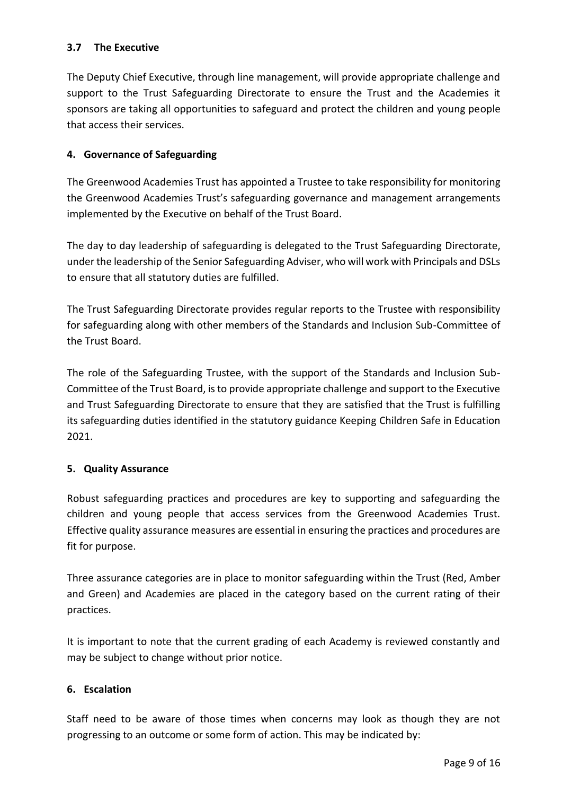#### <span id="page-8-0"></span>**3.7 The Executive**

The Deputy Chief Executive, through line management, will provide appropriate challenge and support to the Trust Safeguarding Directorate to ensure the Trust and the Academies it sponsors are taking all opportunities to safeguard and protect the children and young people that access their services.

#### <span id="page-8-1"></span>**4. Governance of Safeguarding**

The Greenwood Academies Trust has appointed a Trustee to take responsibility for monitoring the Greenwood Academies Trust's safeguarding governance and management arrangements implemented by the Executive on behalf of the Trust Board.

The day to day leadership of safeguarding is delegated to the Trust Safeguarding Directorate, under the leadership of the Senior Safeguarding Adviser, who will work with Principals and DSLs to ensure that all statutory duties are fulfilled.

The Trust Safeguarding Directorate provides regular reports to the Trustee with responsibility for safeguarding along with other members of the Standards and Inclusion Sub-Committee of the Trust Board.

The role of the Safeguarding Trustee, with the support of the Standards and Inclusion Sub-Committee of the Trust Board, is to provide appropriate challenge and support to the Executive and Trust Safeguarding Directorate to ensure that they are satisfied that the Trust is fulfilling its safeguarding duties identified in the statutory guidance Keeping Children Safe in Education 2021.

#### <span id="page-8-2"></span>**5. Quality Assurance**

Robust safeguarding practices and procedures are key to supporting and safeguarding the children and young people that access services from the Greenwood Academies Trust. Effective quality assurance measures are essential in ensuring the practices and procedures are fit for purpose.

Three assurance categories are in place to monitor safeguarding within the Trust (Red, Amber and Green) and Academies are placed in the category based on the current rating of their practices.

It is important to note that the current grading of each Academy is reviewed constantly and may be subject to change without prior notice.

#### <span id="page-8-3"></span>**6. Escalation**

Staff need to be aware of those times when concerns may look as though they are not progressing to an outcome or some form of action. This may be indicated by: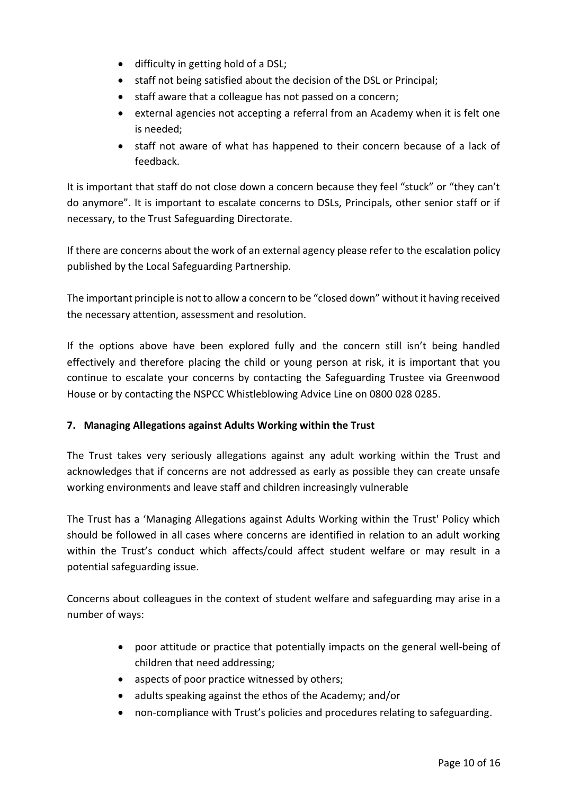- difficulty in getting hold of a DSL;
- staff not being satisfied about the decision of the DSL or Principal;
- staff aware that a colleague has not passed on a concern;
- external agencies not accepting a referral from an Academy when it is felt one is needed;
- staff not aware of what has happened to their concern because of a lack of feedback.

It is important that staff do not close down a concern because they feel "stuck" or "they can't do anymore". It is important to escalate concerns to DSLs, Principals, other senior staff or if necessary, to the Trust Safeguarding Directorate.

If there are concerns about the work of an external agency please refer to the escalation policy published by the Local Safeguarding Partnership.

The important principle is not to allow a concern to be "closed down" without it having received the necessary attention, assessment and resolution.

If the options above have been explored fully and the concern still isn't being handled effectively and therefore placing the child or young person at risk, it is important that you continue to escalate your concerns by contacting the Safeguarding Trustee via Greenwood House or by contacting the NSPCC Whistleblowing Advice Line on 0800 028 0285.

#### <span id="page-9-0"></span>**7. Managing Allegations against Adults Working within the Trust**

The Trust takes very seriously allegations against any adult working within the Trust and acknowledges that if concerns are not addressed as early as possible they can create unsafe working environments and leave staff and children increasingly vulnerable

The Trust has a 'Managing Allegations against Adults Working within the Trust' Policy which should be followed in all cases where concerns are identified in relation to an adult working within the Trust's conduct which affects/could affect student welfare or may result in a potential safeguarding issue.

Concerns about colleagues in the context of student welfare and safeguarding may arise in a number of ways:

- poor attitude or practice that potentially impacts on the general well-being of children that need addressing;
- aspects of poor practice witnessed by others;
- adults speaking against the ethos of the Academy; and/or
- non-compliance with Trust's policies and procedures relating to safeguarding.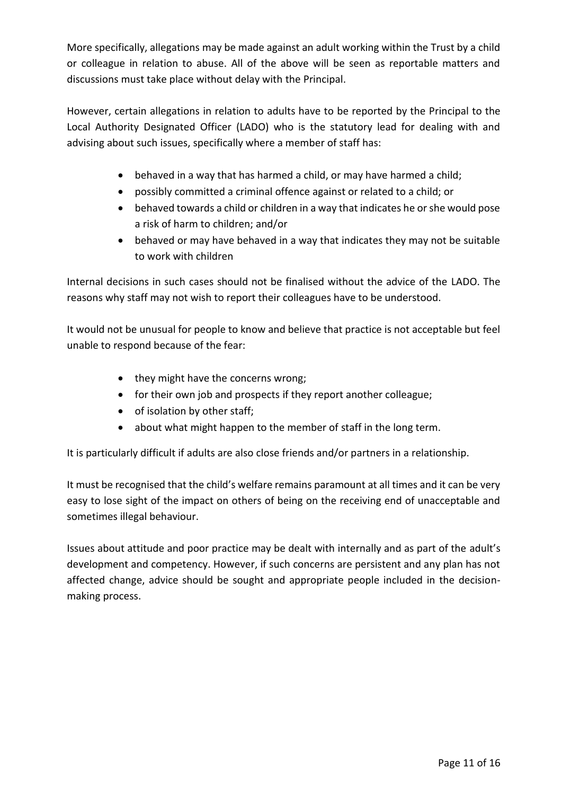More specifically, allegations may be made against an adult working within the Trust by a child or colleague in relation to abuse. All of the above will be seen as reportable matters and discussions must take place without delay with the Principal.

However, certain allegations in relation to adults have to be reported by the Principal to the Local Authority Designated Officer (LADO) who is the statutory lead for dealing with and advising about such issues, specifically where a member of staff has:

- behaved in a way that has harmed a child, or may have harmed a child;
- possibly committed a criminal offence against or related to a child; or
- behaved towards a child or children in a way that indicates he or she would pose a risk of harm to children; and/or
- behaved or may have behaved in a way that indicates they may not be suitable to work with children

Internal decisions in such cases should not be finalised without the advice of the LADO. The reasons why staff may not wish to report their colleagues have to be understood.

It would not be unusual for people to know and believe that practice is not acceptable but feel unable to respond because of the fear:

- they might have the concerns wrong;
- for their own job and prospects if they report another colleague;
- of isolation by other staff;
- about what might happen to the member of staff in the long term.

It is particularly difficult if adults are also close friends and/or partners in a relationship.

It must be recognised that the child's welfare remains paramount at all times and it can be very easy to lose sight of the impact on others of being on the receiving end of unacceptable and sometimes illegal behaviour.

Issues about attitude and poor practice may be dealt with internally and as part of the adult's development and competency. However, if such concerns are persistent and any plan has not affected change, advice should be sought and appropriate people included in the decisionmaking process.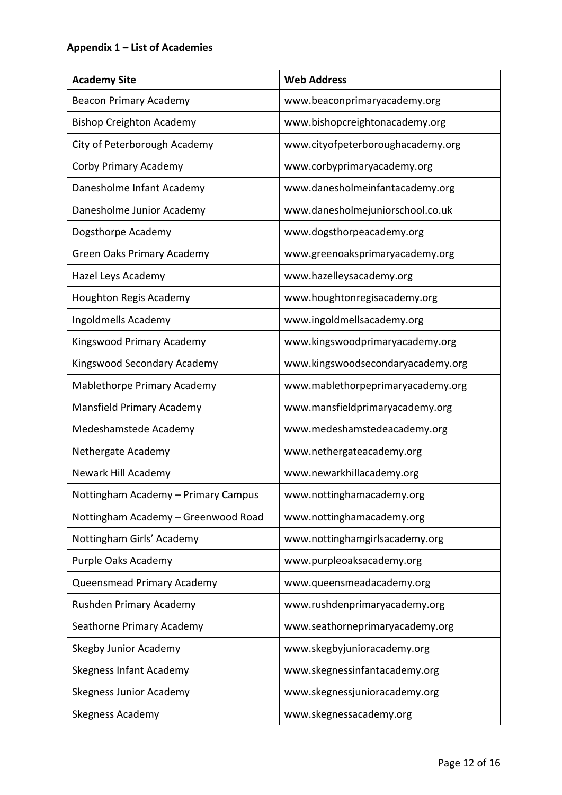#### <span id="page-11-0"></span>**Appendix 1 – List of Academies**

| <b>Academy Site</b>                 | <b>Web Address</b>                |
|-------------------------------------|-----------------------------------|
| <b>Beacon Primary Academy</b>       | www.beaconprimaryacademy.org      |
| <b>Bishop Creighton Academy</b>     | www.bishopcreightonacademy.org    |
| City of Peterborough Academy        | www.cityofpeterboroughacademy.org |
| Corby Primary Academy               | www.corbyprimaryacademy.org       |
| Danesholme Infant Academy           | www.danesholmeinfantacademy.org   |
| Danesholme Junior Academy           | www.danesholmejuniorschool.co.uk  |
| Dogsthorpe Academy                  | www.dogsthorpeacademy.org         |
| Green Oaks Primary Academy          | www.greenoaksprimaryacademy.org   |
| Hazel Leys Academy                  | www.hazelleysacademy.org          |
| <b>Houghton Regis Academy</b>       | www.houghtonregisacademy.org      |
| Ingoldmells Academy                 | www.ingoldmellsacademy.org        |
| Kingswood Primary Academy           | www.kingswoodprimaryacademy.org   |
| Kingswood Secondary Academy         | www.kingswoodsecondaryacademy.org |
| Mablethorpe Primary Academy         | www.mablethorpeprimaryacademy.org |
| Mansfield Primary Academy           | www.mansfieldprimaryacademy.org   |
| Medeshamstede Academy               | www.medeshamstedeacademy.org      |
| Nethergate Academy                  | www.nethergateacademy.org         |
| Newark Hill Academy                 | www.newarkhillacademy.org         |
| Nottingham Academy - Primary Campus | www.nottinghamacademy.org         |
| Nottingham Academy - Greenwood Road | www.nottinghamacademy.org         |
| Nottingham Girls' Academy           | www.nottinghamgirlsacademy.org    |
| Purple Oaks Academy                 | www.purpleoaksacademy.org         |
| Queensmead Primary Academy          | www.queensmeadacademy.org         |
| Rushden Primary Academy             | www.rushdenprimaryacademy.org     |
| Seathorne Primary Academy           | www.seathorneprimaryacademy.org   |
| <b>Skegby Junior Academy</b>        | www.skegbyjunioracademy.org       |
| <b>Skegness Infant Academy</b>      | www.skegnessinfantacademy.org     |
| <b>Skegness Junior Academy</b>      | www.skegnessjunioracademy.org     |
| Skegness Academy                    | www.skegnessacademy.org           |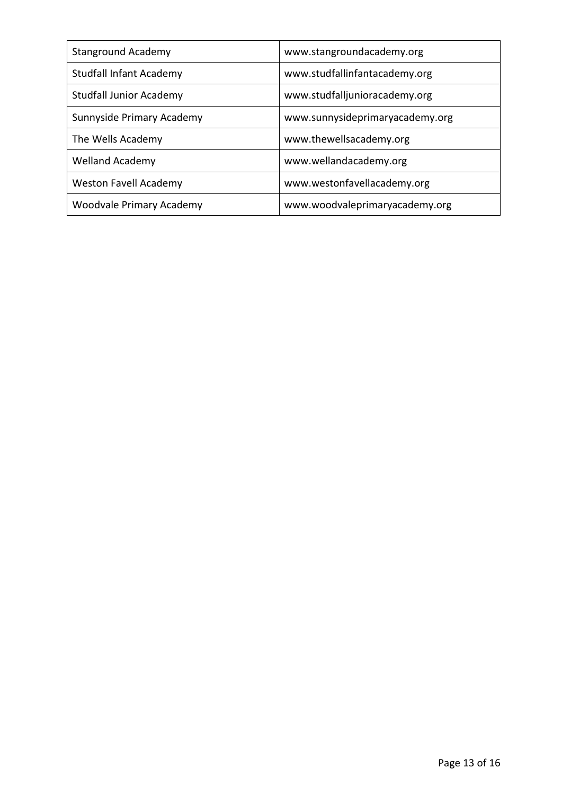| <b>Stanground Academy</b>       | www.stangroundacademy.org       |
|---------------------------------|---------------------------------|
| <b>Studfall Infant Academy</b>  | www.studfallinfantacademy.org   |
| <b>Studfall Junior Academy</b>  | www.studfalljunioracademy.org   |
| Sunnyside Primary Academy       | www.sunnysideprimaryacademy.org |
| The Wells Academy               | www.thewellsacademy.org         |
| <b>Welland Academy</b>          | www.wellandacademy.org          |
| <b>Weston Favell Academy</b>    | www.westonfavellacademy.org     |
| <b>Woodvale Primary Academy</b> | www.woodvaleprimaryacademy.org  |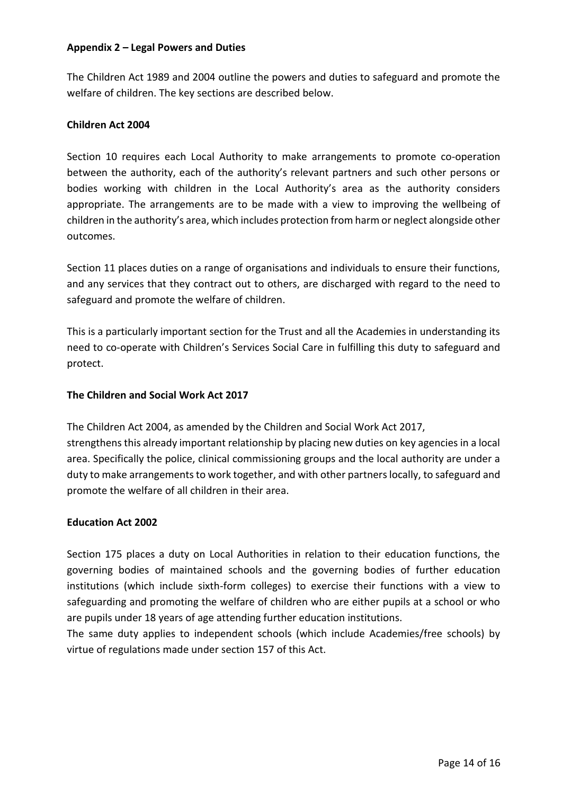#### <span id="page-13-0"></span>**Appendix 2 – Legal Powers and Duties**

The Children Act 1989 and 2004 outline the powers and duties to safeguard and promote the welfare of children. The key sections are described below.

#### **Children Act 2004**

Section 10 requires each Local Authority to make arrangements to promote co-operation between the authority, each of the authority's relevant partners and such other persons or bodies working with children in the Local Authority's area as the authority considers appropriate. The arrangements are to be made with a view to improving the wellbeing of children in the authority's area, which includes protection from harm or neglect alongside other outcomes.

Section 11 places duties on a range of organisations and individuals to ensure their functions, and any services that they contract out to others, are discharged with regard to the need to safeguard and promote the welfare of children.

This is a particularly important section for the Trust and all the Academies in understanding its need to co-operate with Children's Services Social Care in fulfilling this duty to safeguard and protect.

#### **The Children and Social Work Act 2017**

The Children Act 2004, as amended by the Children and Social Work Act 2017,

strengthens this already important relationship by placing new duties on key agencies in a local area. Specifically the police, clinical commissioning groups and the local authority are under a duty to make arrangements to work together, and with other partners locally, to safeguard and promote the welfare of all children in their area.

#### **Education Act 2002**

Section 175 places a duty on Local Authorities in relation to their education functions, the governing bodies of maintained schools and the governing bodies of further education institutions (which include sixth-form colleges) to exercise their functions with a view to safeguarding and promoting the welfare of children who are either pupils at a school or who are pupils under 18 years of age attending further education institutions.

The same duty applies to independent schools (which include Academies/free schools) by virtue of regulations made under section 157 of this Act.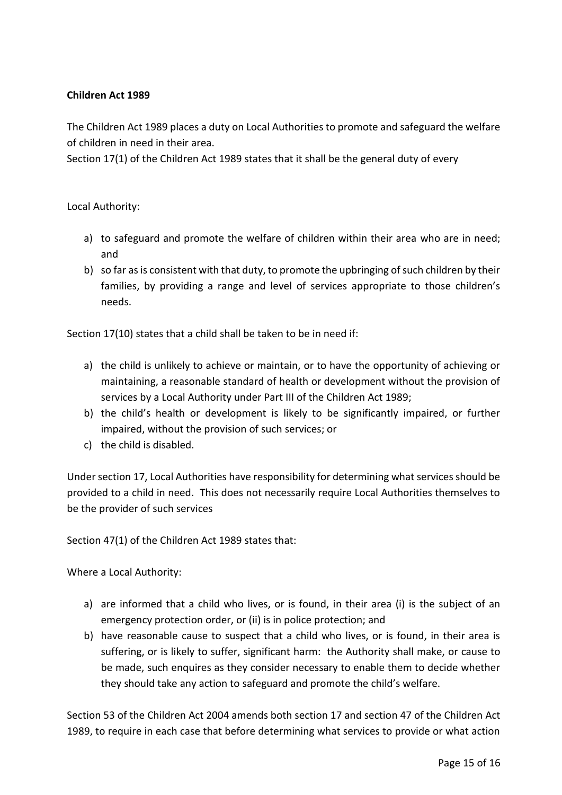#### **Children Act 1989**

The Children Act 1989 places a duty on Local Authorities to promote and safeguard the welfare of children in need in their area.

Section 17(1) of the Children Act 1989 states that it shall be the general duty of every

Local Authority:

- a) to safeguard and promote the welfare of children within their area who are in need; and
- b) so far as is consistent with that duty, to promote the upbringing of such children by their families, by providing a range and level of services appropriate to those children's needs.

Section 17(10) states that a child shall be taken to be in need if:

- a) the child is unlikely to achieve or maintain, or to have the opportunity of achieving or maintaining, a reasonable standard of health or development without the provision of services by a Local Authority under Part III of the Children Act 1989;
- b) the child's health or development is likely to be significantly impaired, or further impaired, without the provision of such services; or
- c) the child is disabled.

Under section 17, Local Authorities have responsibility for determining what services should be provided to a child in need. This does not necessarily require Local Authorities themselves to be the provider of such services

Section 47(1) of the Children Act 1989 states that:

Where a Local Authority:

- a) are informed that a child who lives, or is found, in their area (i) is the subject of an emergency protection order, or (ii) is in police protection; and
- b) have reasonable cause to suspect that a child who lives, or is found, in their area is suffering, or is likely to suffer, significant harm: the Authority shall make, or cause to be made, such enquires as they consider necessary to enable them to decide whether they should take any action to safeguard and promote the child's welfare.

Section 53 of the Children Act 2004 amends both section 17 and section 47 of the Children Act 1989, to require in each case that before determining what services to provide or what action